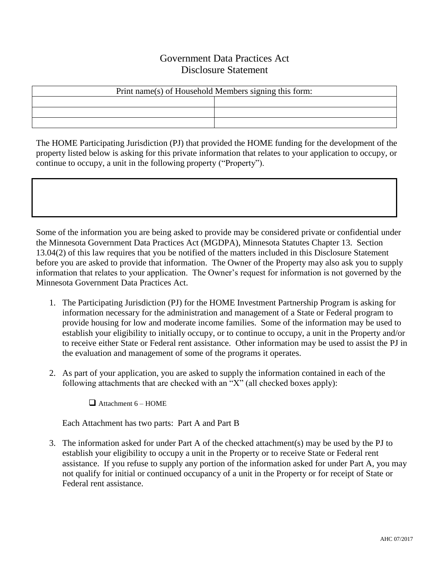## Government Data Practices Act Disclosure Statement

| Print name(s) of Household Members signing this form: |  |  |
|-------------------------------------------------------|--|--|
|                                                       |  |  |
|                                                       |  |  |
|                                                       |  |  |

The HOME Participating Jurisdiction (PJ) that provided the HOME funding for the development of the property listed below is asking for this private information that relates to your application to occupy, or continue to occupy, a unit in the following property ("Property").

Some of the information you are being asked to provide may be considered private or confidential under the Minnesota Government Data Practices Act (MGDPA), Minnesota Statutes Chapter 13. Section 13.04(2) of this law requires that you be notified of the matters included in this Disclosure Statement before you are asked to provide that information. The Owner of the Property may also ask you to supply information that relates to your application. The Owner's request for information is not governed by the Minnesota Government Data Practices Act.

- 1. The Participating Jurisdiction (PJ) for the HOME Investment Partnership Program is asking for information necessary for the administration and management of a State or Federal program to provide housing for low and moderate income families. Some of the information may be used to establish your eligibility to initially occupy, or to continue to occupy, a unit in the Property and/or to receive either State or Federal rent assistance. Other information may be used to assist the PJ in the evaluation and management of some of the programs it operates.
- 2. As part of your application, you are asked to supply the information contained in each of the following attachments that are checked with an "X" (all checked boxes apply):

 $\Box$  Attachment 6 – HOME

Each Attachment has two parts: Part A and Part B

3. The information asked for under Part A of the checked attachment(s) may be used by the PJ to establish your eligibility to occupy a unit in the Property or to receive State or Federal rent assistance. If you refuse to supply any portion of the information asked for under Part A, you may not qualify for initial or continued occupancy of a unit in the Property or for receipt of State or Federal rent assistance.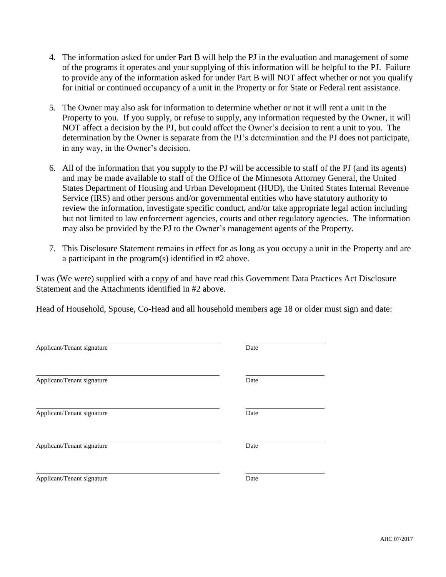- 4. The information asked for under Part B will help the PJ in the evaluation and management of some of the programs it operates and your supplying of this information will be helpful to the PJ. Failure to provide any of the information asked for under Part B will NOT affect whether or not you qualify for initial or continued occupancy of a unit in the Property or for State or Federal rent assistance.
- 5. The Owner may also ask for information to determine whether or not it will rent a unit in the Property to you. If you supply, or refuse to supply, any information requested by the Owner, it will NOT affect a decision by the PJ, but could affect the Owner's decision to rent a unit to you. The determination by the Owner is separate from the PJ's determination and the PJ does not participate, in any way, in the Owner's decision.
- 6. All of the information that you supply to the PJ will be accessible to staff of the PJ (and its agents) and may be made available to staff of the Office of the Minnesota Attorney General, the United States Department of Housing and Urban Development (HUD), the United States Internal Revenue Service (IRS) and other persons and/or governmental entities who have statutory authority to review the information, investigate specific conduct, and/or take appropriate legal action including but not limited to law enforcement agencies, courts and other regulatory agencies. The information may also be provided by the PJ to the Owner's management agents of the Property.
- 7. This Disclosure Statement remains in effect for as long as you occupy a unit in the Property and are a participant in the program(s) identified in #2 above.

I was (We were) supplied with a copy of and have read this Government Data Practices Act Disclosure Statement and the Attachments identified in #2 above.

Head of Household, Spouse, Co-Head and all household members age 18 or older must sign and date:

| Applicant/Tenant signature | Date |
|----------------------------|------|
| Applicant/Tenant signature | Date |
| Applicant/Tenant signature | Date |
| Applicant/Tenant signature | Date |
| Applicant/Tenant signature | Date |